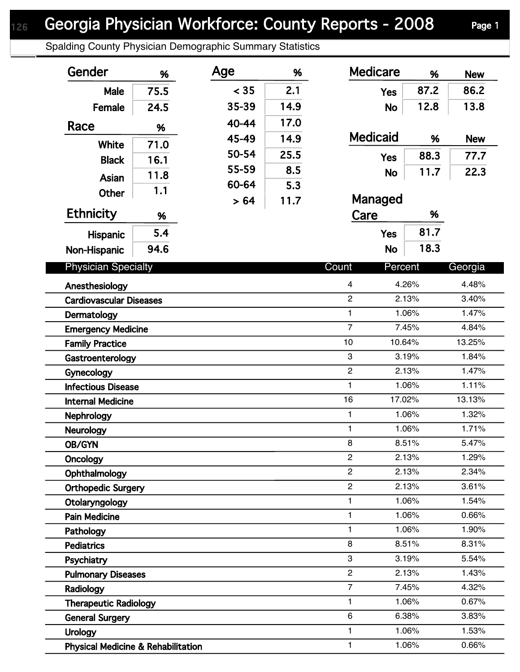## Spalding County Physician Demographic Summary Statistics

| Gender                                        | %                          | Age   | %                       | <b>Medicare</b>           | %                  | <b>New</b> |
|-----------------------------------------------|----------------------------|-------|-------------------------|---------------------------|--------------------|------------|
| Male                                          | 75.5                       | < 35  | 2.1                     | <b>Yes</b>                | 87.2               | 86.2       |
| Female                                        | 24.5                       | 35-39 | 14.9                    | <b>No</b>                 | 12.8               | 13.8       |
| Race                                          |                            | 40-44 | 17.0                    |                           |                    |            |
|                                               | %                          | 45-49 | 14.9                    | <b>Medicaid</b>           | %                  | <b>New</b> |
| White                                         | 71.0                       | 50-54 | 25.5                    |                           | 88.3               | 77.7       |
| <b>Black</b>                                  | 16.1                       | 55-59 | 8.5                     | <b>Yes</b>                |                    |            |
| <b>Asian</b>                                  | 11.8                       | 60-64 | 5.3                     | <b>No</b>                 | 11.7               | 22.3       |
| Other                                         | 1.1                        | >64   | 11.7                    | Managed                   |                    |            |
| <b>Ethnicity</b>                              | %                          |       |                         | Care<br>%                 |                    |            |
| Hispanic                                      | 5.4                        |       |                         | <b>Yes</b>                | 81.7               |            |
| Non-Hispanic                                  | 94.6                       |       |                         | <b>No</b>                 | 18.3               |            |
|                                               | <b>Physician Specialty</b> |       |                         |                           | Percent<br>Georgia |            |
| Anesthesiology                                |                            |       | $\overline{\mathbf{4}}$ | 4.26%                     | 4.48%              |            |
| <b>Cardiovascular Diseases</b>                |                            |       | $\overline{2}$          | 2.13%                     | 3.40%              |            |
| Dermatology                                   |                            |       |                         | 1                         | 1.06%              | 1.47%      |
| <b>Emergency Medicine</b>                     |                            |       |                         | $\overline{7}$            | 7.45%              | 4.84%      |
| <b>Family Practice</b>                        |                            |       |                         | 10                        | 10.64%             | 13.25%     |
| Gastroenterology                              |                            |       |                         | $\ensuremath{\mathsf{3}}$ | 3.19%              | 1.84%      |
| Gynecology                                    |                            |       |                         | $\boldsymbol{2}$          | 2.13%              | 1.47%      |
| <b>Infectious Disease</b>                     |                            |       |                         | $\mathbf{1}$              | 1.06%              | 1.11%      |
| <b>Internal Medicine</b>                      |                            |       |                         | 16                        | 17.02%             | 13.13%     |
| Nephrology                                    |                            |       |                         | $\mathbf{1}$              | 1.06%              | 1.32%      |
| Neurology                                     |                            |       |                         | $\mathbf{1}$              | 1.06%              | 1.71%      |
| <b>OB/GYN</b>                                 |                            |       |                         | 8                         | 8.51%              | 5.47%      |
| Oncology                                      |                            |       |                         | $\mathbf{2}$              | 2.13%              | 1.29%      |
| Ophthalmology                                 |                            |       |                         | $\overline{c}$            | 2.13%              | 2.34%      |
| <b>Orthopedic Surgery</b>                     |                            |       |                         | $\overline{c}$            | 2.13%              | 3.61%      |
| Otolaryngology                                |                            |       |                         | 1                         | 1.06%              | 1.54%      |
| <b>Pain Medicine</b>                          |                            |       |                         | 1                         | 1.06%              | 0.66%      |
| Pathology                                     |                            |       |                         | 1                         | 1.06%              | 1.90%      |
| <b>Pediatrics</b>                             |                            |       |                         | 8                         | 8.51%              | 8.31%      |
| Psychiatry                                    |                            |       |                         | 3                         | 3.19%              | 5.54%      |
| <b>Pulmonary Diseases</b>                     |                            |       |                         | $\overline{2}$            | 2.13%              | 1.43%      |
| Radiology                                     |                            |       |                         | $\overline{7}$            | 7.45%              | 4.32%      |
| <b>Therapeutic Radiology</b>                  |                            |       |                         | 1                         | 1.06%              | 0.67%      |
| <b>General Surgery</b>                        |                            |       |                         | $\,6$                     | 6.38%              | 3.83%      |
| <b>Urology</b>                                |                            |       |                         | 1                         | 1.06%              | 1.53%      |
| <b>Physical Medicine &amp; Rehabilitation</b> |                            |       |                         | 1                         | 1.06%              | 0.66%      |